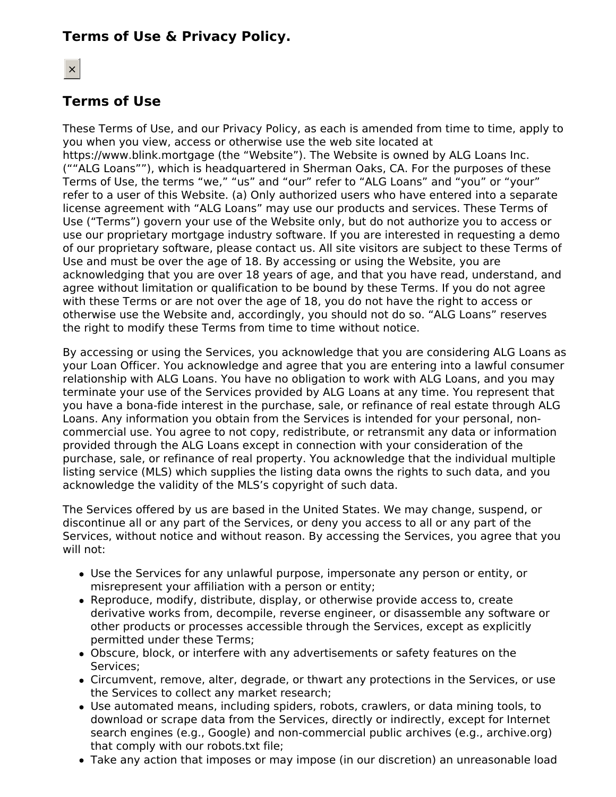# **Terms of Use & Privacy Policy.**

# **Terms of Use**

These Terms of Use, and our Privacy Policy, as each is amended from time to time, apply to you when you view, access or otherwise use the web site located at https://www.blink.mortgage (the "Website"). The Website is owned by ALG Loans Inc. (""ALG Loans""), which is headquartered in Sherman Oaks, CA. For the purposes of these Terms of Use, the terms "we," "us" and "our" refer to "ALG Loans" and "you" or "your" refer to a user of this Website. (a) Only authorized users who have entered into a separate license agreement with "ALG Loans" may use our products and services. These Terms of Use ("Terms") govern your use of the Website only, but do not authorize you to access or use our proprietary mortgage industry software. If you are interested in requesting a demo of our proprietary software, please contact us. All site visitors are subject to these Terms of Use and must be over the age of 18. By accessing or using the Website, you are acknowledging that you are over 18 years of age, and that you have read, understand, and agree without limitation or qualification to be bound by these Terms. If you do not agree with these Terms or are not over the age of 18, you do not have the right to access or otherwise use the Website and, accordingly, you should not do so. "ALG Loans" reserves the right to modify these Terms from time to time without notice.

By accessing or using the Services, you acknowledge that you are considering ALG Loans as your Loan Officer. You acknowledge and agree that you are entering into a lawful consumer relationship with ALG Loans. You have no obligation to work with ALG Loans, and you may terminate your use of the Services provided by ALG Loans at any time. You represent that you have a bona-fide interest in the purchase, sale, or refinance of real estate through ALG Loans. Any information you obtain from the Services is intended for your personal, noncommercial use. You agree to not copy, redistribute, or retransmit any data or information provided through the ALG Loans except in connection with your consideration of the purchase, sale, or refinance of real property. You acknowledge that the individual multiple listing service (MLS) which supplies the listing data owns the rights to such data, and you acknowledge the validity of the MLS's copyright of such data.

The Services offered by us are based in the United States. We may change, suspend, or discontinue all or any part of the Services, or deny you access to all or any part of the Services, without notice and without reason. By accessing the Services, you agree that you will not:

- Use the Services for any unlawful purpose, impersonate any person or entity, or misrepresent your affiliation with a person or entity;
- Reproduce, modify, distribute, display, or otherwise provide access to, create derivative works from, decompile, reverse engineer, or disassemble any software or other products or processes accessible through the Services, except as explicitly permitted under these Terms;
- Obscure, block, or interfere with any advertisements or safety features on the Services;
- Circumvent, remove, alter, degrade, or thwart any protections in the Services, or use the Services to collect any market research;
- Use automated means, including spiders, robots, crawlers, or data mining tools, to download or scrape data from the Services, directly or indirectly, except for Internet search engines (e.g., Google) and non-commercial public archives (e.g., archive.org) that comply with our robots.txt file;
- Take any action that imposes or may impose (in our discretion) an unreasonable load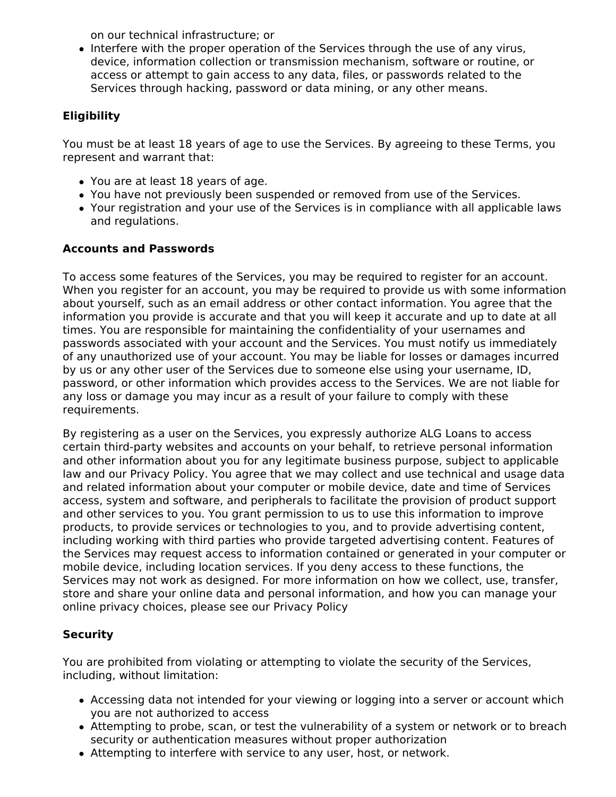on our technical infrastructure; or

• Interfere with the proper operation of the Services through the use of any virus, device, information collection or transmission mechanism, software or routine, or access or attempt to gain access to any data, files, or passwords related to the Services through hacking, password or data mining, or any other means.

## **Eligibility**

You must be at least 18 years of age to use the Services. By agreeing to these Terms, you represent and warrant that:

- You are at least 18 years of age.
- You have not previously been suspended or removed from use of the Services.
- Your registration and your use of the Services is in compliance with all applicable laws and regulations.

## **Accounts and Passwords**

To access some features of the Services, you may be required to register for an account. When you register for an account, you may be required to provide us with some information about yourself, such as an email address or other contact information. You agree that the information you provide is accurate and that you will keep it accurate and up to date at all times. You are responsible for maintaining the confidentiality of your usernames and passwords associated with your account and the Services. You must notify us immediately of any unauthorized use of your account. You may be liable for losses or damages incurred by us or any other user of the Services due to someone else using your username, ID, password, or other information which provides access to the Services. We are not liable for any loss or damage you may incur as a result of your failure to comply with these requirements.

By registering as a user on the Services, you expressly authorize ALG Loans to access certain third-party websites and accounts on your behalf, to retrieve personal information and other information about you for any legitimate business purpose, subject to applicable law and our Privacy Policy. You agree that we may collect and use technical and usage data and related information about your computer or mobile device, date and time of Services access, system and software, and peripherals to facilitate the provision of product support and other services to you. You grant permission to us to use this information to improve products, to provide services or technologies to you, and to provide advertising content, including working with third parties who provide targeted advertising content. Features of the Services may request access to information contained or generated in your computer or mobile device, including location services. If you deny access to these functions, the Services may not work as designed. For more information on how we collect, use, transfer, store and share your online data and personal information, and how you can manage your online privacy choices, please see our Privacy Policy

## **Security**

You are prohibited from violating or attempting to violate the security of the Services, including, without limitation:

- Accessing data not intended for your viewing or logging into a server or account which you are not authorized to access
- Attempting to probe, scan, or test the vulnerability of a system or network or to breach security or authentication measures without proper authorization
- Attempting to interfere with service to any user, host, or network.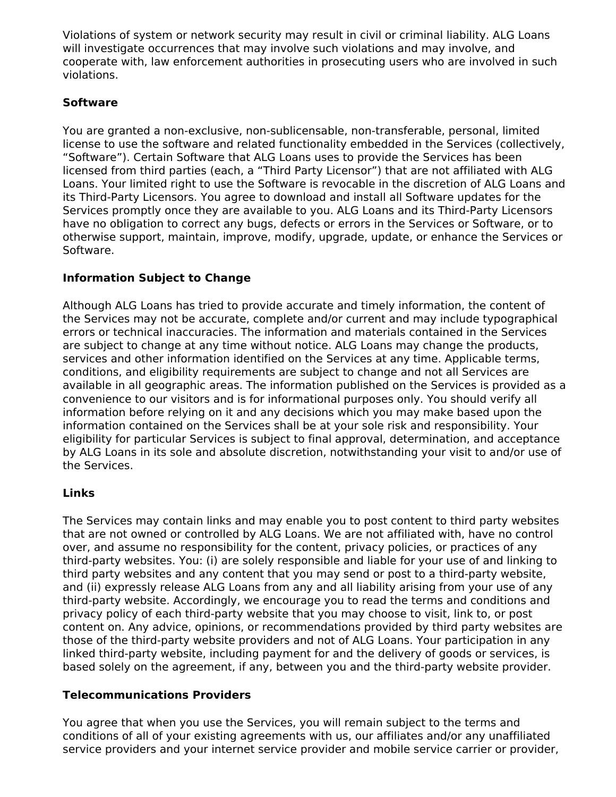Violations of system or network security may result in civil or criminal liability. ALG Loans will investigate occurrences that may involve such violations and may involve, and cooperate with, law enforcement authorities in prosecuting users who are involved in such violations.

## **Software**

You are granted a non-exclusive, non-sublicensable, non-transferable, personal, limited license to use the software and related functionality embedded in the Services (collectively, "Software"). Certain Software that ALG Loans uses to provide the Services has been licensed from third parties (each, a "Third Party Licensor") that are not affiliated with ALG Loans. Your limited right to use the Software is revocable in the discretion of ALG Loans and its Third-Party Licensors. You agree to download and install all Software updates for the Services promptly once they are available to you. ALG Loans and its Third-Party Licensors have no obligation to correct any bugs, defects or errors in the Services or Software, or to otherwise support, maintain, improve, modify, upgrade, update, or enhance the Services or Software.

## **Information Subject to Change**

Although ALG Loans has tried to provide accurate and timely information, the content of the Services may not be accurate, complete and/or current and may include typographical errors or technical inaccuracies. The information and materials contained in the Services are subject to change at any time without notice. ALG Loans may change the products, services and other information identified on the Services at any time. Applicable terms, conditions, and eligibility requirements are subject to change and not all Services are available in all geographic areas. The information published on the Services is provided as a convenience to our visitors and is for informational purposes only. You should verify all information before relying on it and any decisions which you may make based upon the information contained on the Services shall be at your sole risk and responsibility. Your eligibility for particular Services is subject to final approval, determination, and acceptance by ALG Loans in its sole and absolute discretion, notwithstanding your visit to and/or use of the Services.

### **Links**

The Services may contain links and may enable you to post content to third party websites that are not owned or controlled by ALG Loans. We are not affiliated with, have no control over, and assume no responsibility for the content, privacy policies, or practices of any third-party websites. You: (i) are solely responsible and liable for your use of and linking to third party websites and any content that you may send or post to a third-party website, and (ii) expressly release ALG Loans from any and all liability arising from your use of any third-party website. Accordingly, we encourage you to read the terms and conditions and privacy policy of each third-party website that you may choose to visit, link to, or post content on. Any advice, opinions, or recommendations provided by third party websites are those of the third-party website providers and not of ALG Loans. Your participation in any linked third-party website, including payment for and the delivery of goods or services, is based solely on the agreement, if any, between you and the third-party website provider.

### **Telecommunications Providers**

You agree that when you use the Services, you will remain subject to the terms and conditions of all of your existing agreements with us, our affiliates and/or any unaffiliated service providers and your internet service provider and mobile service carrier or provider,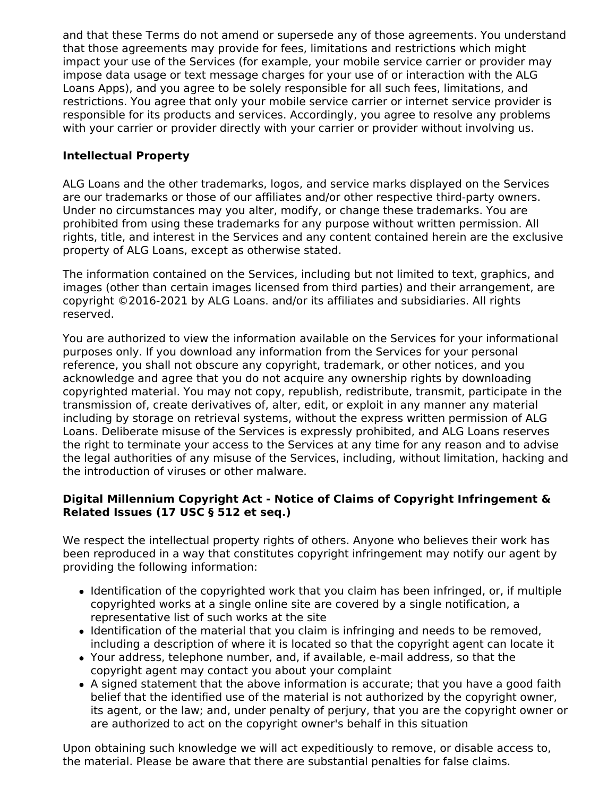and that these Terms do not amend or supersede any of those agreements. You understand that those agreements may provide for fees, limitations and restrictions which might impact your use of the Services (for example, your mobile service carrier or provider may impose data usage or text message charges for your use of or interaction with the ALG Loans Apps), and you agree to be solely responsible for all such fees, limitations, and restrictions. You agree that only your mobile service carrier or internet service provider is responsible for its products and services. Accordingly, you agree to resolve any problems with your carrier or provider directly with your carrier or provider without involving us.

## **Intellectual Property**

ALG Loans and the other trademarks, logos, and service marks displayed on the Services are our trademarks or those of our affiliates and/or other respective third-party owners. Under no circumstances may you alter, modify, or change these trademarks. You are prohibited from using these trademarks for any purpose without written permission. All rights, title, and interest in the Services and any content contained herein are the exclusive property of ALG Loans, except as otherwise stated.

The information contained on the Services, including but not limited to text, graphics, and images (other than certain images licensed from third parties) and their arrangement, are copyright ©2016-2021 by ALG Loans. and/or its affiliates and subsidiaries. All rights reserved.

You are authorized to view the information available on the Services for your informational purposes only. If you download any information from the Services for your personal reference, you shall not obscure any copyright, trademark, or other notices, and you acknowledge and agree that you do not acquire any ownership rights by downloading copyrighted material. You may not copy, republish, redistribute, transmit, participate in the transmission of, create derivatives of, alter, edit, or exploit in any manner any material including by storage on retrieval systems, without the express written permission of ALG Loans. Deliberate misuse of the Services is expressly prohibited, and ALG Loans reserves the right to terminate your access to the Services at any time for any reason and to advise the legal authorities of any misuse of the Services, including, without limitation, hacking and the introduction of viruses or other malware.

### **Digital Millennium Copyright Act - Notice of Claims of Copyright Infringement & Related Issues (17 USC § 512 et seq.)**

We respect the intellectual property rights of others. Anyone who believes their work has been reproduced in a way that constitutes copyright infringement may notify our agent by providing the following information:

- Identification of the copyrighted work that you claim has been infringed, or, if multiple copyrighted works at a single online site are covered by a single notification, a representative list of such works at the site
- Identification of the material that you claim is infringing and needs to be removed, including a description of where it is located so that the copyright agent can locate it
- Your address, telephone number, and, if available, e-mail address, so that the copyright agent may contact you about your complaint
- A signed statement that the above information is accurate; that you have a good faith belief that the identified use of the material is not authorized by the copyright owner, its agent, or the law; and, under penalty of perjury, that you are the copyright owner or are authorized to act on the copyright owner's behalf in this situation

Upon obtaining such knowledge we will act expeditiously to remove, or disable access to, the material. Please be aware that there are substantial penalties for false claims.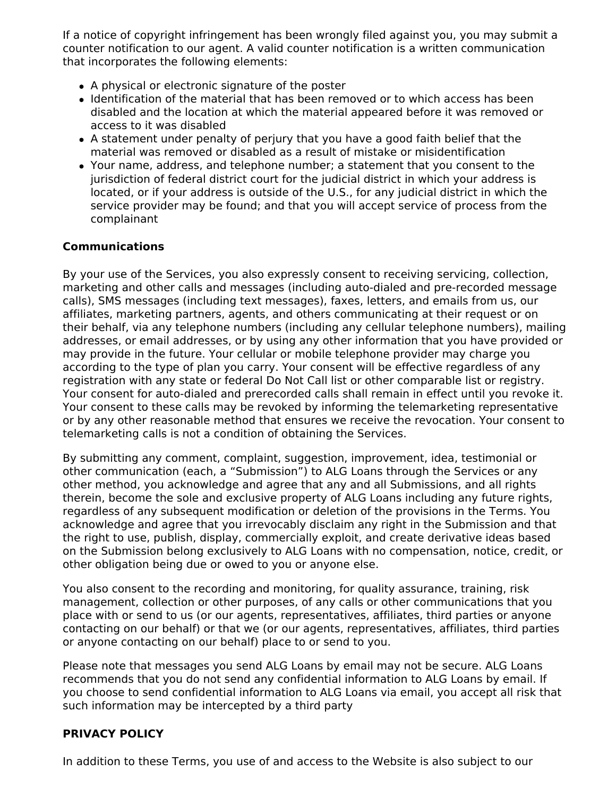If a notice of copyright infringement has been wrongly filed against you, you may submit a counter notification to our agent. A valid counter notification is a written communication that incorporates the following elements:

- A physical or electronic signature of the poster
- Identification of the material that has been removed or to which access has been disabled and the location at which the material appeared before it was removed or access to it was disabled
- A statement under penalty of perjury that you have a good faith belief that the material was removed or disabled as a result of mistake or misidentification
- Your name, address, and telephone number; a statement that you consent to the jurisdiction of federal district court for the judicial district in which your address is located, or if your address is outside of the U.S., for any judicial district in which the service provider may be found; and that you will accept service of process from the complainant

### **Communications**

By your use of the Services, you also expressly consent to receiving servicing, collection, marketing and other calls and messages (including auto-dialed and pre-recorded message calls), SMS messages (including text messages), faxes, letters, and emails from us, our affiliates, marketing partners, agents, and others communicating at their request or on their behalf, via any telephone numbers (including any cellular telephone numbers), mailing addresses, or email addresses, or by using any other information that you have provided or may provide in the future. Your cellular or mobile telephone provider may charge you according to the type of plan you carry. Your consent will be effective regardless of any registration with any state or federal Do Not Call list or other comparable list or registry. Your consent for auto-dialed and prerecorded calls shall remain in effect until you revoke it. Your consent to these calls may be revoked by informing the telemarketing representative or by any other reasonable method that ensures we receive the revocation. Your consent to telemarketing calls is not a condition of obtaining the Services.

By submitting any comment, complaint, suggestion, improvement, idea, testimonial or other communication (each, a "Submission") to ALG Loans through the Services or any other method, you acknowledge and agree that any and all Submissions, and all rights therein, become the sole and exclusive property of ALG Loans including any future rights, regardless of any subsequent modification or deletion of the provisions in the Terms. You acknowledge and agree that you irrevocably disclaim any right in the Submission and that the right to use, publish, display, commercially exploit, and create derivative ideas based on the Submission belong exclusively to ALG Loans with no compensation, notice, credit, or other obligation being due or owed to you or anyone else.

You also consent to the recording and monitoring, for quality assurance, training, risk management, collection or other purposes, of any calls or other communications that you place with or send to us (or our agents, representatives, affiliates, third parties or anyone contacting on our behalf) or that we (or our agents, representatives, affiliates, third parties or anyone contacting on our behalf) place to or send to you.

Please note that messages you send ALG Loans by email may not be secure. ALG Loans recommends that you do not send any confidential information to ALG Loans by email. If you choose to send confidential information to ALG Loans via email, you accept all risk that such information may be intercepted by a third party

### **PRIVACY POLICY**

In addition to these Terms, you use of and access to the Website is also subject to our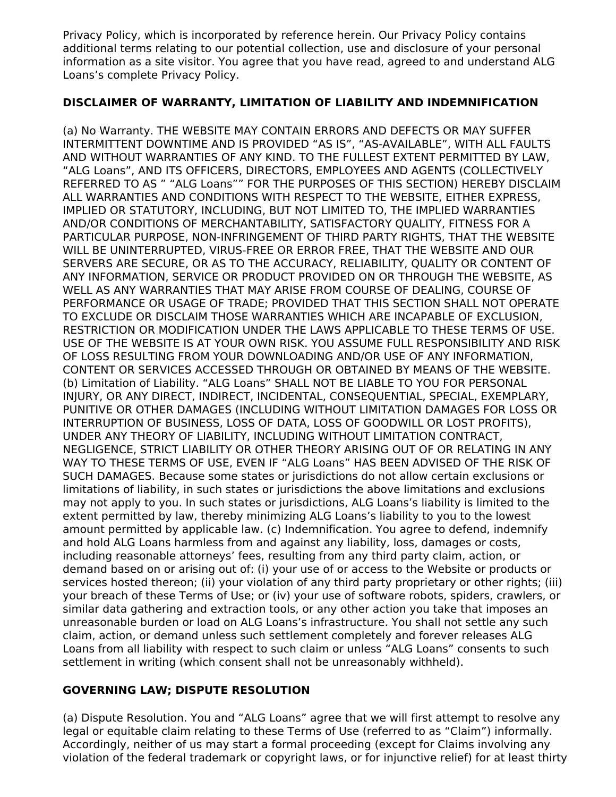Privacy Policy, which is incorporated by reference herein. Our Privacy Policy contains additional terms relating to our potential collection, use and disclosure of your personal information as a site visitor. You agree that you have read, agreed to and understand ALG Loans's complete Privacy Policy.

### **DISCLAIMER OF WARRANTY, LIMITATION OF LIABILITY AND INDEMNIFICATION**

(a) No Warranty. THE WEBSITE MAY CONTAIN ERRORS AND DEFECTS OR MAY SUFFER INTERMITTENT DOWNTIME AND IS PROVIDED "AS IS", "AS-AVAILABLE", WITH ALL FAULTS AND WITHOUT WARRANTIES OF ANY KIND. TO THE FULLEST EXTENT PERMITTED BY LAW, "ALG Loans", AND ITS OFFICERS, DIRECTORS, EMPLOYEES AND AGENTS (COLLECTIVELY REFERRED TO AS " "ALG Loans"" FOR THE PURPOSES OF THIS SECTION) HEREBY DISCLAIM ALL WARRANTIES AND CONDITIONS WITH RESPECT TO THE WEBSITE, EITHER EXPRESS, IMPLIED OR STATUTORY, INCLUDING, BUT NOT LIMITED TO, THE IMPLIED WARRANTIES AND/OR CONDITIONS OF MERCHANTABILITY, SATISFACTORY QUALITY, FITNESS FOR A PARTICULAR PURPOSE, NON-INFRINGEMENT OF THIRD PARTY RIGHTS, THAT THE WEBSITE WILL BE UNINTERRUPTED, VIRUS-FREE OR ERROR FREE, THAT THE WEBSITE AND OUR SERVERS ARE SECURE, OR AS TO THE ACCURACY, RELIABILITY, QUALITY OR CONTENT OF ANY INFORMATION, SERVICE OR PRODUCT PROVIDED ON OR THROUGH THE WEBSITE, AS WELL AS ANY WARRANTIES THAT MAY ARISE FROM COURSE OF DEALING, COURSE OF PERFORMANCE OR USAGE OF TRADE; PROVIDED THAT THIS SECTION SHALL NOT OPERATE TO EXCLUDE OR DISCLAIM THOSE WARRANTIES WHICH ARE INCAPABLE OF EXCLUSION, RESTRICTION OR MODIFICATION UNDER THE LAWS APPLICABLE TO THESE TERMS OF USE. USE OF THE WEBSITE IS AT YOUR OWN RISK. YOU ASSUME FULL RESPONSIBILITY AND RISK OF LOSS RESULTING FROM YOUR DOWNLOADING AND/OR USE OF ANY INFORMATION, CONTENT OR SERVICES ACCESSED THROUGH OR OBTAINED BY MEANS OF THE WEBSITE. (b) Limitation of Liability. "ALG Loans" SHALL NOT BE LIABLE TO YOU FOR PERSONAL INJURY, OR ANY DIRECT, INDIRECT, INCIDENTAL, CONSEQUENTIAL, SPECIAL, EXEMPLARY, PUNITIVE OR OTHER DAMAGES (INCLUDING WITHOUT LIMITATION DAMAGES FOR LOSS OR INTERRUPTION OF BUSINESS, LOSS OF DATA, LOSS OF GOODWILL OR LOST PROFITS), UNDER ANY THEORY OF LIABILITY, INCLUDING WITHOUT LIMITATION CONTRACT, NEGLIGENCE, STRICT LIABILITY OR OTHER THEORY ARISING OUT OF OR RELATING IN ANY WAY TO THESE TERMS OF USE, EVEN IF "ALG Loans" HAS BEEN ADVISED OF THE RISK OF SUCH DAMAGES. Because some states or jurisdictions do not allow certain exclusions or limitations of liability, in such states or jurisdictions the above limitations and exclusions may not apply to you. In such states or jurisdictions, ALG Loans's liability is limited to the extent permitted by law, thereby minimizing ALG Loans's liability to you to the lowest amount permitted by applicable law. (c) Indemnification. You agree to defend, indemnify and hold ALG Loans harmless from and against any liability, loss, damages or costs, including reasonable attorneys' fees, resulting from any third party claim, action, or demand based on or arising out of: (i) your use of or access to the Website or products or services hosted thereon; (ii) your violation of any third party proprietary or other rights; (iii) your breach of these Terms of Use; or (iv) your use of software robots, spiders, crawlers, or similar data gathering and extraction tools, or any other action you take that imposes an unreasonable burden or load on ALG Loans's infrastructure. You shall not settle any such claim, action, or demand unless such settlement completely and forever releases ALG Loans from all liability with respect to such claim or unless "ALG Loans" consents to such settlement in writing (which consent shall not be unreasonably withheld).

### **GOVERNING LAW; DISPUTE RESOLUTION**

(a) Dispute Resolution. You and "ALG Loans" agree that we will first attempt to resolve any legal or equitable claim relating to these Terms of Use (referred to as "Claim") informally. Accordingly, neither of us may start a formal proceeding (except for Claims involving any violation of the federal trademark or copyright laws, or for injunctive relief) for at least thirty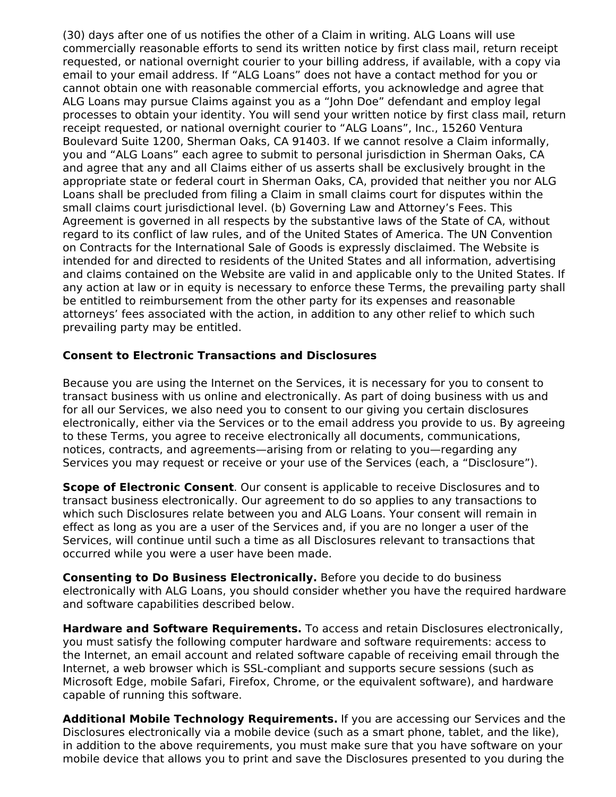(30) days after one of us notifies the other of a Claim in writing. ALG Loans will use commercially reasonable efforts to send its written notice by first class mail, return receipt requested, or national overnight courier to your billing address, if available, with a copy via email to your email address. If "ALG Loans" does not have a contact method for you or cannot obtain one with reasonable commercial efforts, you acknowledge and agree that ALG Loans may pursue Claims against you as a "John Doe" defendant and employ legal processes to obtain your identity. You will send your written notice by first class mail, return receipt requested, or national overnight courier to "ALG Loans", Inc., 15260 Ventura Boulevard Suite 1200, Sherman Oaks, CA 91403. If we cannot resolve a Claim informally, you and "ALG Loans" each agree to submit to personal jurisdiction in Sherman Oaks, CA and agree that any and all Claims either of us asserts shall be exclusively brought in the appropriate state or federal court in Sherman Oaks, CA, provided that neither you nor ALG Loans shall be precluded from filing a Claim in small claims court for disputes within the small claims court jurisdictional level. (b) Governing Law and Attorney's Fees. This Agreement is governed in all respects by the substantive laws of the State of CA, without regard to its conflict of law rules, and of the United States of America. The UN Convention on Contracts for the International Sale of Goods is expressly disclaimed. The Website is intended for and directed to residents of the United States and all information, advertising and claims contained on the Website are valid in and applicable only to the United States. If any action at law or in equity is necessary to enforce these Terms, the prevailing party shall be entitled to reimbursement from the other party for its expenses and reasonable attorneys' fees associated with the action, in addition to any other relief to which such prevailing party may be entitled.

### **Consent to Electronic Transactions and Disclosures**

Because you are using the Internet on the Services, it is necessary for you to consent to transact business with us online and electronically. As part of doing business with us and for all our Services, we also need you to consent to our giving you certain disclosures electronically, either via the Services or to the email address you provide to us. By agreeing to these Terms, you agree to receive electronically all documents, communications, notices, contracts, and agreements—arising from or relating to you—regarding any Services you may request or receive or your use of the Services (each, a "Disclosure").

**Scope of Electronic Consent**. Our consent is applicable to receive Disclosures and to transact business electronically. Our agreement to do so applies to any transactions to which such Disclosures relate between you and ALG Loans. Your consent will remain in effect as long as you are a user of the Services and, if you are no longer a user of the Services, will continue until such a time as all Disclosures relevant to transactions that occurred while you were a user have been made.

**Consenting to Do Business Electronically.** Before you decide to do business electronically with ALG Loans, you should consider whether you have the required hardware and software capabilities described below.

**Hardware and Software Requirements.** To access and retain Disclosures electronically, you must satisfy the following computer hardware and software requirements: access to the Internet, an email account and related software capable of receiving email through the Internet, a web browser which is SSL-compliant and supports secure sessions (such as Microsoft Edge, mobile Safari, Firefox, Chrome, or the equivalent software), and hardware capable of running this software.

**Additional Mobile Technology Requirements.** If you are accessing our Services and the Disclosures electronically via a mobile device (such as a smart phone, tablet, and the like), in addition to the above requirements, you must make sure that you have software on your mobile device that allows you to print and save the Disclosures presented to you during the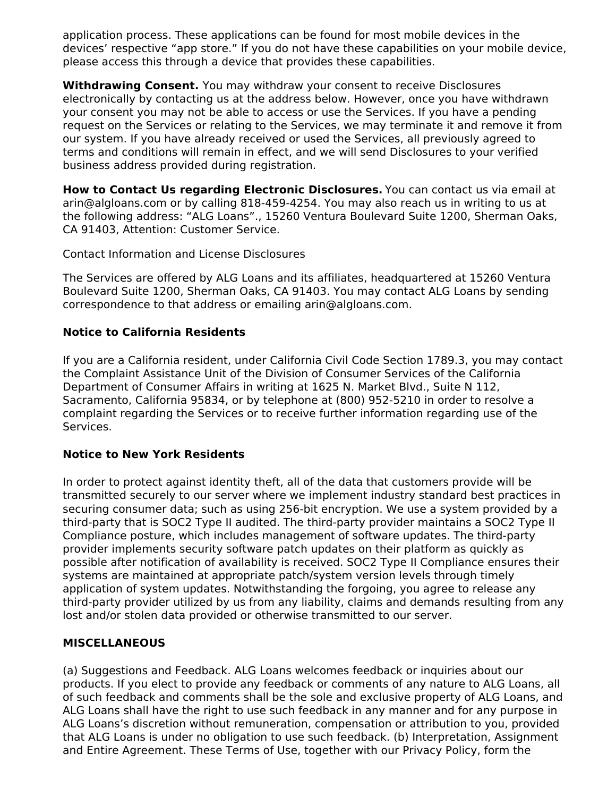application process. These applications can be found for most mobile devices in the devices' respective "app store." If you do not have these capabilities on your mobile device, please access this through a device that provides these capabilities.

**Withdrawing Consent.** You may withdraw your consent to receive Disclosures electronically by contacting us at the address below. However, once you have withdrawn your consent you may not be able to access or use the Services. If you have a pending request on the Services or relating to the Services, we may terminate it and remove it from our system. If you have already received or used the Services, all previously agreed to terms and conditions will remain in effect, and we will send Disclosures to your verified business address provided during registration.

**How to Contact Us regarding Electronic Disclosures.** You can contact us via email at arin@algloans.com or by calling 818-459-4254. You may also reach us in writing to us at the following address: "ALG Loans"., 15260 Ventura Boulevard Suite 1200, Sherman Oaks, CA 91403, Attention: Customer Service.

Contact Information and License Disclosures

The Services are offered by ALG Loans and its affiliates, headquartered at 15260 Ventura Boulevard Suite 1200, Sherman Oaks, CA 91403. You may contact ALG Loans by sending correspondence to that address or emailing arin@algloans.com.

### **Notice to California Residents**

If you are a California resident, under California Civil Code Section 1789.3, you may contact the Complaint Assistance Unit of the Division of Consumer Services of the California Department of Consumer Affairs in writing at 1625 N. Market Blvd., Suite N 112, Sacramento, California 95834, or by telephone at (800) 952-5210 in order to resolve a complaint regarding the Services or to receive further information regarding use of the Services.

### **Notice to New York Residents**

In order to protect against identity theft, all of the data that customers provide will be transmitted securely to our server where we implement industry standard best practices in securing consumer data; such as using 256-bit encryption. We use a system provided by a third-party that is SOC2 Type II audited. The third-party provider maintains a SOC2 Type II Compliance posture, which includes management of software updates. The third-party provider implements security software patch updates on their platform as quickly as possible after notification of availability is received. SOC2 Type II Compliance ensures their systems are maintained at appropriate patch/system version levels through timely application of system updates. Notwithstanding the forgoing, you agree to release any third-party provider utilized by us from any liability, claims and demands resulting from any lost and/or stolen data provided or otherwise transmitted to our server.

### **MISCELLANEOUS**

(a) Suggestions and Feedback. ALG Loans welcomes feedback or inquiries about our products. If you elect to provide any feedback or comments of any nature to ALG Loans, all of such feedback and comments shall be the sole and exclusive property of ALG Loans, and ALG Loans shall have the right to use such feedback in any manner and for any purpose in ALG Loans's discretion without remuneration, compensation or attribution to you, provided that ALG Loans is under no obligation to use such feedback. (b) Interpretation, Assignment and Entire Agreement. These Terms of Use, together with our Privacy Policy, form the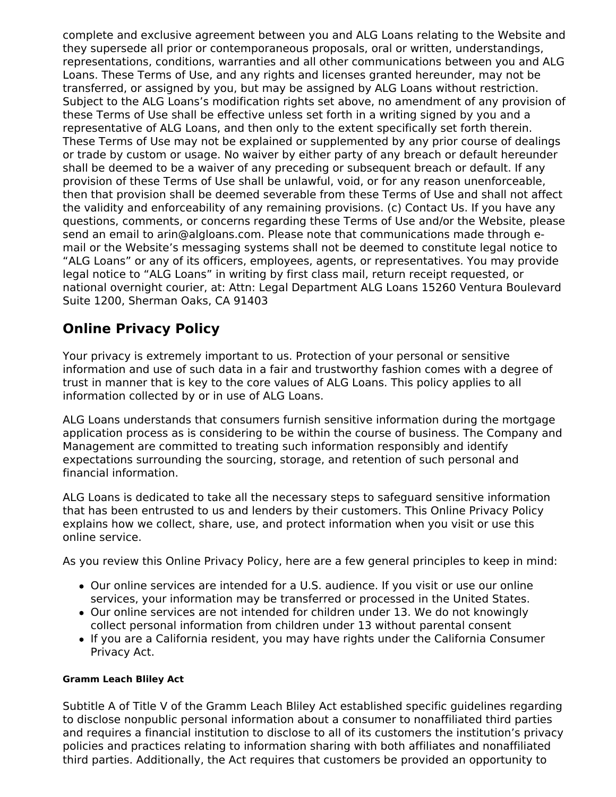complete and exclusive agreement between you and ALG Loans relating to the Website and they supersede all prior or contemporaneous proposals, oral or written, understandings, representations, conditions, warranties and all other communications between you and ALG Loans. These Terms of Use, and any rights and licenses granted hereunder, may not be transferred, or assigned by you, but may be assigned by ALG Loans without restriction. Subject to the ALG Loans's modification rights set above, no amendment of any provision of these Terms of Use shall be effective unless set forth in a writing signed by you and a representative of ALG Loans, and then only to the extent specifically set forth therein. These Terms of Use may not be explained or supplemented by any prior course of dealings or trade by custom or usage. No waiver by either party of any breach or default hereunder shall be deemed to be a waiver of any preceding or subsequent breach or default. If any provision of these Terms of Use shall be unlawful, void, or for any reason unenforceable, then that provision shall be deemed severable from these Terms of Use and shall not affect the validity and enforceability of any remaining provisions. (c) Contact Us. If you have any questions, comments, or concerns regarding these Terms of Use and/or the Website, please send an email to arin@algloans.com. Please note that communications made through email or the Website's messaging systems shall not be deemed to constitute legal notice to "ALG Loans" or any of its officers, employees, agents, or representatives. You may provide legal notice to "ALG Loans" in writing by first class mail, return receipt requested, or national overnight courier, at: Attn: Legal Department ALG Loans 15260 Ventura Boulevard Suite 1200, Sherman Oaks, CA 91403

# **Online Privacy Policy**

Your privacy is extremely important to us. Protection of your personal or sensitive information and use of such data in a fair and trustworthy fashion comes with a degree of trust in manner that is key to the core values of ALG Loans. This policy applies to all information collected by or in use of ALG Loans.

ALG Loans understands that consumers furnish sensitive information during the mortgage application process as is considering to be within the course of business. The Company and Management are committed to treating such information responsibly and identify expectations surrounding the sourcing, storage, and retention of such personal and financial information.

ALG Loans is dedicated to take all the necessary steps to safeguard sensitive information that has been entrusted to us and lenders by their customers. This Online Privacy Policy explains how we collect, share, use, and protect information when you visit or use this online service.

As you review this Online Privacy Policy, here are a few general principles to keep in mind:

- Our online services are intended for a U.S. audience. If you visit or use our online services, your information may be transferred or processed in the United States.
- Our online services are not intended for children under 13. We do not knowingly collect personal information from children under 13 without parental consent
- If you are a California resident, you may have rights under the California Consumer Privacy Act.

#### **Gramm Leach Bliley Act**

Subtitle A of Title V of the Gramm Leach Bliley Act established specific guidelines regarding to disclose nonpublic personal information about a consumer to nonaffiliated third parties and requires a financial institution to disclose to all of its customers the institution's privacy policies and practices relating to information sharing with both affiliates and nonaffiliated third parties. Additionally, the Act requires that customers be provided an opportunity to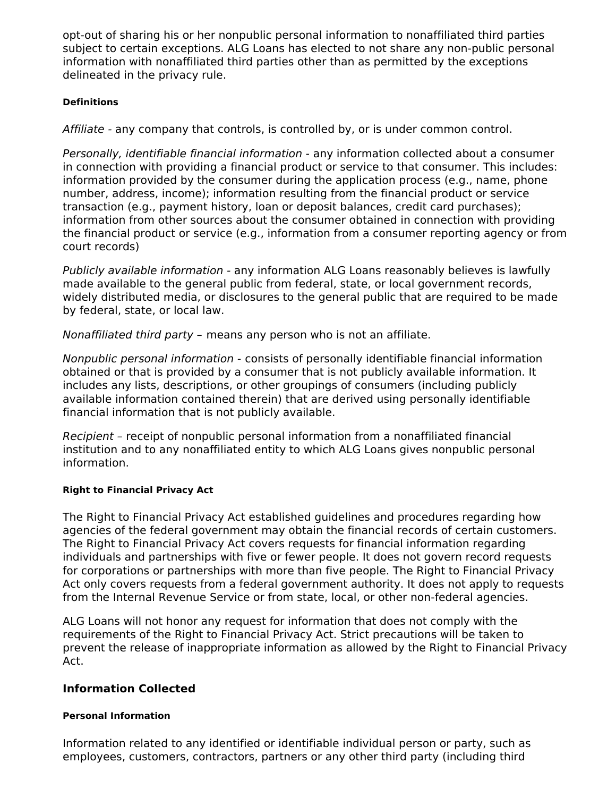opt-out of sharing his or her nonpublic personal information to nonaffiliated third parties subject to certain exceptions. ALG Loans has elected to not share any non-public personal information with nonaffiliated third parties other than as permitted by the exceptions delineated in the privacy rule.

### **Definitions**

Affiliate - any company that controls, is controlled by, or is under common control.

Personally, identifiable financial information - any information collected about a consumer in connection with providing a financial product or service to that consumer. This includes: information provided by the consumer during the application process (e.g., name, phone number, address, income); information resulting from the financial product or service transaction (e.g., payment history, loan or deposit balances, credit card purchases); information from other sources about the consumer obtained in connection with providing the financial product or service (e.g., information from a consumer reporting agency or from court records)

Publicly available information - any information ALG Loans reasonably believes is lawfully made available to the general public from federal, state, or local government records, widely distributed media, or disclosures to the general public that are required to be made by federal, state, or local law.

Nonaffiliated third party – means any person who is not an affiliate.

Nonpublic personal information - consists of personally identifiable financial information obtained or that is provided by a consumer that is not publicly available information. It includes any lists, descriptions, or other groupings of consumers (including publicly available information contained therein) that are derived using personally identifiable financial information that is not publicly available.

Recipient – receipt of nonpublic personal information from a nonaffiliated financial institution and to any nonaffiliated entity to which ALG Loans gives nonpublic personal information.

### **Right to Financial Privacy Act**

The Right to Financial Privacy Act established guidelines and procedures regarding how agencies of the federal government may obtain the financial records of certain customers. The Right to Financial Privacy Act covers requests for financial information regarding individuals and partnerships with five or fewer people. It does not govern record requests for corporations or partnerships with more than five people. The Right to Financial Privacy Act only covers requests from a federal government authority. It does not apply to requests from the Internal Revenue Service or from state, local, or other non-federal agencies.

ALG Loans will not honor any request for information that does not comply with the requirements of the Right to Financial Privacy Act. Strict precautions will be taken to prevent the release of inappropriate information as allowed by the Right to Financial Privacy Act.

### **Information Collected**

### **Personal Information**

Information related to any identified or identifiable individual person or party, such as employees, customers, contractors, partners or any other third party (including third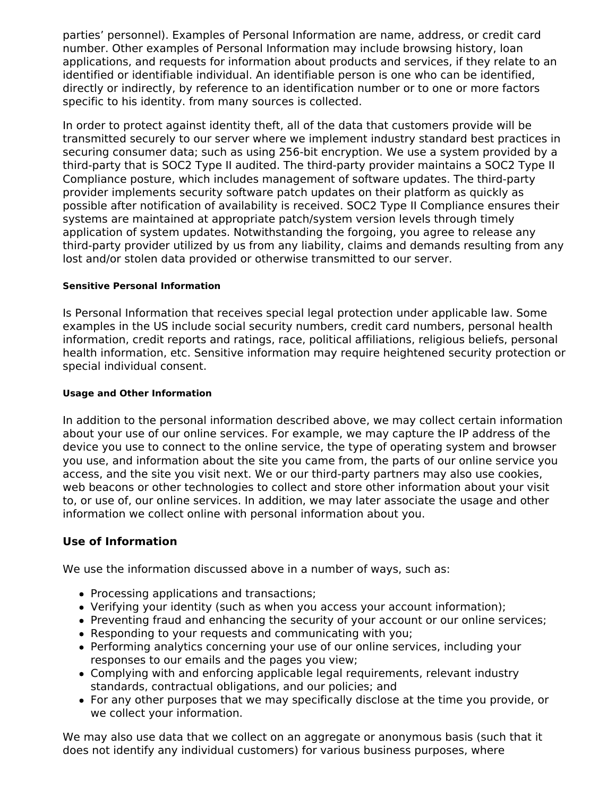parties' personnel). Examples of Personal Information are name, address, or credit card number. Other examples of Personal Information may include browsing history, loan applications, and requests for information about products and services, if they relate to an identified or identifiable individual. An identifiable person is one who can be identified, directly or indirectly, by reference to an identification number or to one or more factors specific to his identity. from many sources is collected.

In order to protect against identity theft, all of the data that customers provide will be transmitted securely to our server where we implement industry standard best practices in securing consumer data; such as using 256-bit encryption. We use a system provided by a third-party that is SOC2 Type II audited. The third-party provider maintains a SOC2 Type II Compliance posture, which includes management of software updates. The third-party provider implements security software patch updates on their platform as quickly as possible after notification of availability is received. SOC2 Type II Compliance ensures their systems are maintained at appropriate patch/system version levels through timely application of system updates. Notwithstanding the forgoing, you agree to release any third-party provider utilized by us from any liability, claims and demands resulting from any lost and/or stolen data provided or otherwise transmitted to our server.

#### **Sensitive Personal Information**

Is Personal Information that receives special legal protection under applicable law. Some examples in the US include social security numbers, credit card numbers, personal health information, credit reports and ratings, race, political affiliations, religious beliefs, personal health information, etc. Sensitive information may require heightened security protection or special individual consent.

#### **Usage and Other Information**

In addition to the personal information described above, we may collect certain information about your use of our online services. For example, we may capture the IP address of the device you use to connect to the online service, the type of operating system and browser you use, and information about the site you came from, the parts of our online service you access, and the site you visit next. We or our third-party partners may also use cookies, web beacons or other technologies to collect and store other information about your visit to, or use of, our online services. In addition, we may later associate the usage and other information we collect online with personal information about you.

### **Use of Information**

We use the information discussed above in a number of ways, such as:

- Processing applications and transactions;
- Verifying your identity (such as when you access your account information);
- Preventing fraud and enhancing the security of your account or our online services;
- Responding to your requests and communicating with you;
- Performing analytics concerning your use of our online services, including your responses to our emails and the pages you view;
- Complying with and enforcing applicable legal requirements, relevant industry standards, contractual obligations, and our policies; and
- For any other purposes that we may specifically disclose at the time you provide, or we collect your information.

We may also use data that we collect on an aggregate or anonymous basis (such that it does not identify any individual customers) for various business purposes, where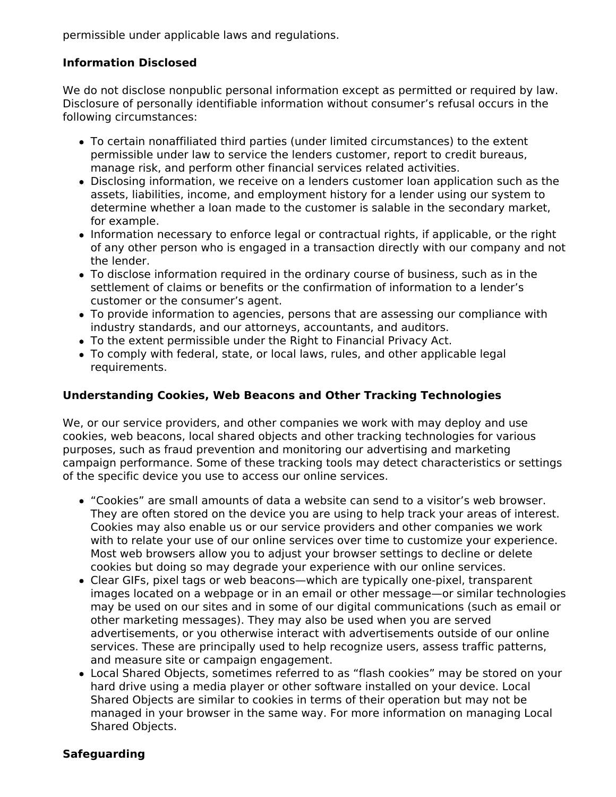permissible under applicable laws and regulations.

## **Information Disclosed**

We do not disclose nonpublic personal information except as permitted or required by law. Disclosure of personally identifiable information without consumer's refusal occurs in the following circumstances:

- To certain nonaffiliated third parties (under limited circumstances) to the extent permissible under law to service the lenders customer, report to credit bureaus, manage risk, and perform other financial services related activities.
- Disclosing information, we receive on a lenders customer loan application such as the assets, liabilities, income, and employment history for a lender using our system to determine whether a loan made to the customer is salable in the secondary market, for example.
- Information necessary to enforce legal or contractual rights, if applicable, or the right of any other person who is engaged in a transaction directly with our company and not the lender.
- To disclose information required in the ordinary course of business, such as in the settlement of claims or benefits or the confirmation of information to a lender's customer or the consumer's agent.
- To provide information to agencies, persons that are assessing our compliance with industry standards, and our attorneys, accountants, and auditors.
- To the extent permissible under the Right to Financial Privacy Act.
- To comply with federal, state, or local laws, rules, and other applicable legal requirements.

### **Understanding Cookies, Web Beacons and Other Tracking Technologies**

We, or our service providers, and other companies we work with may deploy and use cookies, web beacons, local shared objects and other tracking technologies for various purposes, such as fraud prevention and monitoring our advertising and marketing campaign performance. Some of these tracking tools may detect characteristics or settings of the specific device you use to access our online services.

- "Cookies" are small amounts of data a website can send to a visitor's web browser. They are often stored on the device you are using to help track your areas of interest. Cookies may also enable us or our service providers and other companies we work with to relate your use of our online services over time to customize your experience. Most web browsers allow you to adjust your browser settings to decline or delete cookies but doing so may degrade your experience with our online services.
- Clear GIFs, pixel tags or web beacons—which are typically one-pixel, transparent images located on a webpage or in an email or other message—or similar technologies may be used on our sites and in some of our digital communications (such as email or other marketing messages). They may also be used when you are served advertisements, or you otherwise interact with advertisements outside of our online services. These are principally used to help recognize users, assess traffic patterns, and measure site or campaign engagement.
- Local Shared Objects, sometimes referred to as "flash cookies" may be stored on your hard drive using a media player or other software installed on your device. Local Shared Objects are similar to cookies in terms of their operation but may not be managed in your browser in the same way. For more information on managing Local Shared Objects.

### **Safeguarding**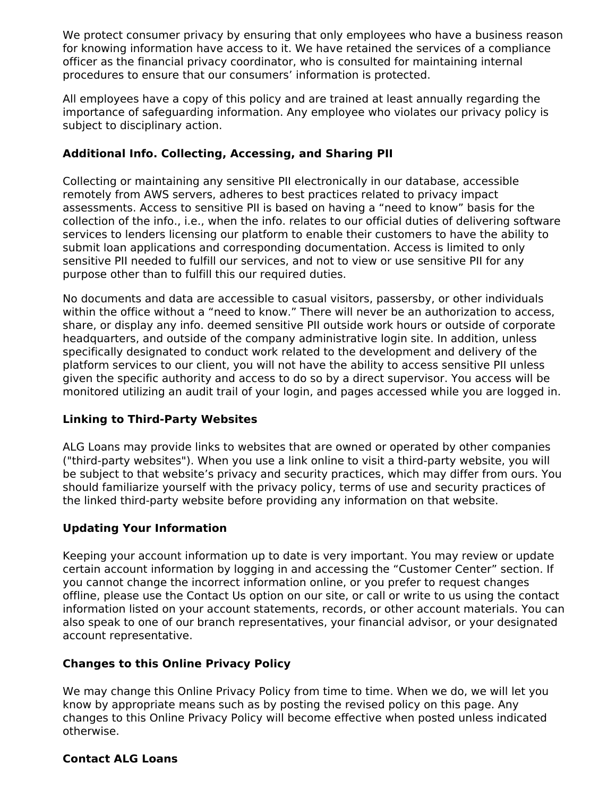We protect consumer privacy by ensuring that only employees who have a business reason for knowing information have access to it. We have retained the services of a compliance officer as the financial privacy coordinator, who is consulted for maintaining internal procedures to ensure that our consumers' information is protected.

All employees have a copy of this policy and are trained at least annually regarding the importance of safeguarding information. Any employee who violates our privacy policy is subject to disciplinary action.

## **Additional Info. Collecting, Accessing, and Sharing PII**

Collecting or maintaining any sensitive PII electronically in our database, accessible remotely from AWS servers, adheres to best practices related to privacy impact assessments. Access to sensitive PII is based on having a "need to know" basis for the collection of the info., i.e., when the info. relates to our official duties of delivering software services to lenders licensing our platform to enable their customers to have the ability to submit loan applications and corresponding documentation. Access is limited to only sensitive PII needed to fulfill our services, and not to view or use sensitive PII for any purpose other than to fulfill this our required duties.

No documents and data are accessible to casual visitors, passersby, or other individuals within the office without a "need to know." There will never be an authorization to access, share, or display any info. deemed sensitive PII outside work hours or outside of corporate headquarters, and outside of the company administrative login site. In addition, unless specifically designated to conduct work related to the development and delivery of the platform services to our client, you will not have the ability to access sensitive PII unless given the specific authority and access to do so by a direct supervisor. You access will be monitored utilizing an audit trail of your login, and pages accessed while you are logged in.

### **Linking to Third-Party Websites**

ALG Loans may provide links to websites that are owned or operated by other companies ("third-party websites"). When you use a link online to visit a third-party website, you will be subject to that website's privacy and security practices, which may differ from ours. You should familiarize yourself with the privacy policy, terms of use and security practices of the linked third-party website before providing any information on that website.

### **Updating Your Information**

Keeping your account information up to date is very important. You may review or update certain account information by logging in and accessing the "Customer Center" section. If you cannot change the incorrect information online, or you prefer to request changes offline, please use the Contact Us option on our site, or call or write to us using the contact information listed on your account statements, records, or other account materials. You can also speak to one of our branch representatives, your financial advisor, or your designated account representative.

### **Changes to this Online Privacy Policy**

We may change this Online Privacy Policy from time to time. When we do, we will let you know by appropriate means such as by posting the revised policy on this page. Any changes to this Online Privacy Policy will become effective when posted unless indicated otherwise.

### **Contact ALG Loans**